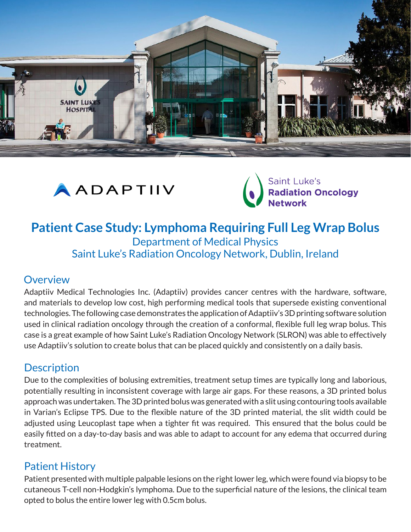





# **Patient Case Study: Lymphoma Requiring Full Leg Wrap Bolus** Department of Medical Physics Saint Luke's Radiation Oncology Network, Dublin, Ireland

#### **Overview**

Adaptiiv Medical Technologies Inc. (Adaptiiv) provides cancer centres with the hardware, software, and materials to develop low cost, high performing medical tools that supersede existing conventional technologies. The following case demonstrates the application of Adaptiiv's 3D printing software solution used in clinical radiation oncology through the creation of a conformal, flexible full leg wrap bolus. This case is a great example of how Saint Luke's Radiation Oncology Network (SLRON) was able to effectively use Adaptiiv's solution to create bolus that can be placed quickly and consistently on a daily basis.

# **Description**

Due to the complexities of bolusing extremities, treatment setup times are typically long and laborious, potentially resulting in inconsistent coverage with large air gaps. For these reasons, a 3D printed bolus approach was undertaken. The 3D printed bolus was generated with a slit using contouring tools available in Varian's Eclipse TPS. Due to the flexible nature of the 3D printed material, the slit width could be adjusted using Leucoplast tape when a tighter fit was required. This ensured that the bolus could be easily fitted on a day-to-day basis and was able to adapt to account for any edema that occurred during treatment.

### Patient History

Patient presented with multiple palpable lesions on the right lower leg, which were found via biopsy to be cutaneous T-cell non-Hodgkin's lymphoma. Due to the superficial nature of the lesions, the clinical team opted to bolus the entire lower leg with 0.5cm bolus.